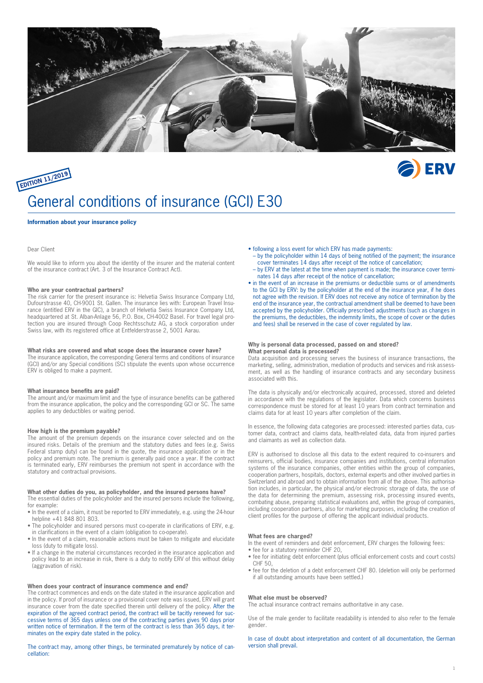

# **EDITION 11/2019** General conditions of insurance (GCI) E30

#### **Information about your insurance policy**

#### Dear Client

We would like to inform you about the identity of the insurer and the material content of the insurance contract (Art. 3 of the Insurance Contract Act).

#### **Who are your contractual partners?**

The risk carrier for the present insurance is: Helvetia Swiss Insurance Company Ltd, Dufourstrasse 40, CH-9001 St. Gallen. The insurance lies with: European Travel Insurance (entitled ERV in the GIC), a branch of Helvetia Swiss Insurance Company Ltd, headquartered at St. Alban-Anlage 56, P.O. Box, CH-4002 Basel. For travel legal protection you are insured through Coop Rechtsschutz AG, a stock corporation under Swiss law, with its registered office at Entfelderstrasse 2, 5001 Aarau.

#### **What risks are covered and what scope does the insurance cover have?**

The insurance application, the corresponding General terms and conditions of insurance (GCI) and/or any Special conditions (SC) stipulate the events upon whose occurrence ERV is obliged to make a payment.

#### **What insurance benefits are paid?**

The amount and/or maximum limit and the type of insurance benefits can be gathered from the insurance application, the policy and the corresponding GCI or SC. The same applies to any deductibles or waiting period.

#### **How high is the premium payable?**

The amount of the premium depends on the insurance cover selected and on the insured risks. Details of the premium and the statutory duties and fees (e.g. Swiss Federal stamp duty) can be found in the quote, the insurance application or in the policy and premium note. The premium is generally paid once a year. If the contract is terminated early, ERV reimburses the premium not spent in accordance with the statutory and contractual provisions.

#### **What other duties do you, as policyholder, and the insured persons have?**

The essential duties of the policyholder and the insured persons include the following, for example:

- In the event of a claim, it must be reported to ERV immediately, e.g. using the 24-hour helpline +41 848 801 803.
- The policyholder and insured persons must co-operate in clarifications of ERV, e.g. in clarifications in the event of a claim (obligation to co-operate).
- In the event of a claim, reasonable actions must be taken to mitigate and elucidate loss (duty to mitigate loss).
- If a change in the material circumstances recorded in the insurance application and policy lead to an increase in risk, there is a duty to notify ERV of this without delay (aggravation of risk).

#### **When does your contract of insurance commence and end?**

The contract commences and ends on the date stated in the insurance application and in the policy. If proof of insurance or a provisional cover note was issued, ERV will grant insurance cover from the date specified therein until delivery of the policy. After the expiration of the agreed contract period, the contract will be tacitly renewed for successive terms of 365 days unless one of the contracting parties gives 90 days prior written notice of termination. If the term of the contract is less than 365 days, it terminates on the expiry date stated in the policy.

The contract may, among other things, be terminated prematurely by notice of cancellation:

- following a loss event for which ERV has made payments:
- by the policyholder within 14 days of being notified of the payment; the insurance cover terminates 14 days after receipt of the notice of cancellation;

**ERV** 

- by ERV at the latest at the time when payment is made; the insurance cover terminates 14 days after receipt of the notice of cancellation;
- in the event of an increase in the premiums or deductible sums or of amendments to the GCI by ERV: by the policyholder at the end of the insurance year, if he does not agree with the revision. If ERV does not receive any notice of termination by the end of the insurance year, the contractual amendment shall be deemed to have been accepted by the policyholder. Officially prescribed adjustments (such as changes in the premiums, the deductibles, the indemnity limits, the scope of cover or the duties and fees) shall be reserved in the case of cover regulated by law.

#### **Why is personal data processed, passed on and stored? What personal data is processed?**

Data acquisition and processing serves the business of insurance transactions, the marketing, selling, administration, mediation of products and services and risk assessment, as well as the handling of insurance contracts and any secondary business associated with this.

The data is physically and/or electronically acquired, processed, stored and deleted in accordance with the regulations of the legislator. Data which concerns business correspondence must be stored for at least 10 years from contract termination and claims data for at least 10 years after completion of the claim.

In essence, the following data categories are processed: interested parties data, customer data, contract and claims data, health-related data, data from injured parties and claimants as well as collection data.

ERV is authorised to disclose all this data to the extent required to co-insurers and reinsurers, official bodies, insurance companies and institutions, central information systems of the insurance companies, other entities within the group of companies, cooperation partners, hospitals, doctors, external experts and other involved parties in Switzerland and abroad and to obtain information from all of the above. This authorisation includes, in particular, the physical and/or electronic storage of data, the use of the data for determining the premium, assessing risk, processing insured events, combating abuse, preparing statistical evaluations and, within the group of companies, including cooperation partners, also for marketing purposes, including the creation of client profiles for the purpose of offering the applicant individual products.

#### **What fees are charged?**

In the event of reminders and debt enforcement, ERV charges the following fees:

- fee for a statutory reminder CHF 20, • fee for initiating debt enforcement (plus official enforcement costs and court costs)
- CHE 50 • fee for the deletion of a debt enforcement CHF 80. (deletion will only be performed
- if all outstanding amounts have been settled.)

#### **What else must be observed?**

The actual insurance contract remains authoritative in any case.

Use of the male gender to facilitate readability is intended to also refer to the female gender.

In case of doubt about interpretation and content of all documentation, the German version shall prevail.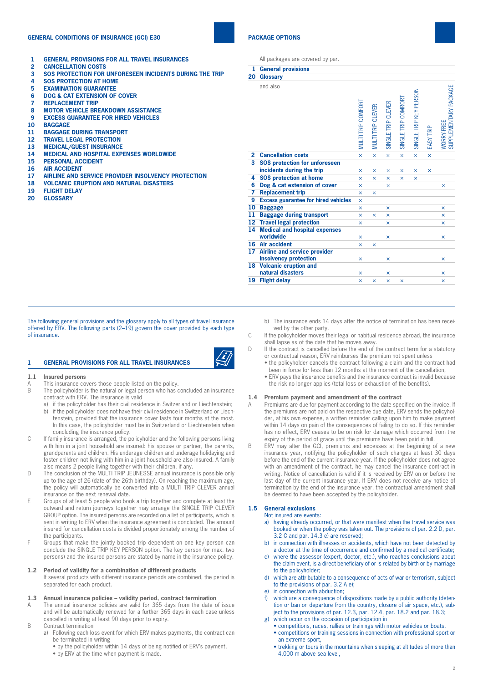### **GENERAL CONDITIONS OF INSURANCE (GCI) E30**

- **1 GENERAL PROVISIONS FOR ALL TRAVEL INSURANCES**
- **2 CANCELLATION COSTS**
- **3 SOS PROTECTION FOR UNFORESEEN INCIDENTS DURING THE TRIP**
- **4 SOS PROTECTION AT HOME**
- **5 EXAMINATION GUARANTEE**
- **6 DOG & CAT EXTENSION OF COVER**
- **7 REPLACEMENT TRIP**
- **8 MOTOR VEHICLE BREAKDOWN ASSISTANCE**
- **9 EXCESS GUARANTEE FOR HIRED VEHICLES**
- **10 BAGGAGE**
- **11 BAGGAGE DURING TRANSPORT**
- **12 TRAVEL LEGAL PROTECTION**
- **13 MEDICAL/GUEST INSURANCE**
- **14 MEDICAL AND HOSPITAL EXPENSES WORLDWIDE**
- **15 PERSONAL ACCIDENT**
- **16 AIR ACCIDENT**
- **17 AIRLINE AND SERVICE PROVIDER INSOLVENCY PROTECTION**
- **18 VOLCANIC ERUPTION AND NATURAL DISASTERS**
- **19 FLIGHT DELAY**
- **20 GLOSSARY**

#### **PACKAGE OPTIONS**

**1 General provisions**

All packages are covered by par.

| ı<br>20                 | General provisions<br><b>Glossary</b>                        |                         |                   |                       |                     |                        |           |                                            |
|-------------------------|--------------------------------------------------------------|-------------------------|-------------------|-----------------------|---------------------|------------------------|-----------|--------------------------------------------|
|                         | and also                                                     | MULTI TRIP COMFORT      | MULTI TRIP CLEVER | SINGLE TRIP CLEVER    | SINGLE TRIP COMRORT | SINGLE TRIP KEY PERSON | EASY TRIP | SUPPLEMENTARY PACKAGE<br><b>WORRY-FREE</b> |
| $\mathbf{2}$            | <b>Cancellation costs</b>                                    | $\boldsymbol{\times}$   | $\times$          | $\boldsymbol{\times}$ | $\times$            | ×                      | $\times$  |                                            |
| $\overline{\mathbf{3}}$ | <b>SOS protection for unforeseen</b>                         |                         |                   |                       |                     |                        |           |                                            |
|                         | incidents during the trip                                    | ×                       | $\times$          | ×                     | $\times$            | ×                      | $\times$  |                                            |
| 4                       | <b>SOS protection at home</b>                                | ×                       | $\mathsf{x}$      | ×                     | $\mathsf{x}$        | ×                      |           |                                            |
| 6                       | Dog & cat extension of cover                                 | ×                       |                   | $\times$              |                     |                        |           | ×                                          |
| 7                       | <b>Replacement trip</b>                                      | ×                       | $\times$          |                       |                     |                        |           |                                            |
| 9                       | <b>Excess guarantee for hired vehicles</b>                   | $\overline{\mathsf{x}}$ |                   |                       |                     |                        |           |                                            |
| 10                      | <b>Baggage</b>                                               | ×                       |                   | ×                     |                     |                        |           | $\mathsf{x}$                               |
| 11                      | <b>Baggage during transport</b>                              | ×                       | $\times$          | $\mathsf{x}$          |                     |                        |           | ×                                          |
| 12                      | <b>Travel legal protection</b>                               | ×                       |                   | ×                     |                     |                        |           | $\overline{\mathsf{x}}$                    |
| 14                      | <b>Medical and hospital expenses</b>                         |                         |                   |                       |                     |                        |           |                                            |
|                         | worldwide                                                    | ×                       |                   | $\times$              |                     |                        |           | ×                                          |
| 16                      | <b>Air accident</b>                                          | $\mathsf{x}$            | $\times$          |                       |                     |                        |           |                                            |
| 17                      | <b>Airline and service provider</b><br>insolvency protection | ×                       |                   | $\mathsf{x}$          |                     |                        |           | ×                                          |
| 18                      | <b>Volcanic eruption and</b><br>natural disasters            | ×                       |                   | $\times$              |                     |                        |           | ×                                          |
| 19                      | <b>Flight delay</b>                                          | $\overline{\mathsf{x}}$ | $\times$          | $\times$              | $\mathsf{x}$        |                        |           | $\mathsf{x}$                               |

The following general provisions and the glossary apply to all types of travel insurance offered by ERV. The following parts (2–19) govern the cover provided by each type of insurance.

#### **1 GENERAL PROVISIONS FOR ALL TRAVEL INSURANCES**



#### **1.1 Insured persons**

- A This insurance covers those people listed on the policy.
- B The policyholder is the natural or legal person who has concluded an insurance contract with ERV. The insurance is valid
	- a) if the policyholder has their civil residence in Switzerland or Liechtenstein;
	- b) if the policyholder does not have their civil residence in Switzerland or Liechtenstein, provided that the insurance cover lasts four months at the most. In this case, the policyholder must be in Switzerland or Liechtenstein when concluding the insurance policy.
- C If family insurance is arranged, the policyholder and the following persons living with him in a joint household are insured: his spouse or partner, the parents, grandparents and children. His underage children and underage holidaying and foster children not living with him in a joint household are also insured. A family also means 2 people living together with their children, if any.
- D The conclusion of the MULTI TRIP JEUNESSE annual insurance is possible only up to the age of 26 (date of the 26th birthday). On reaching the maximum age, the policy will automatically be converted into a MULTI TRIP CLEVER annual insurance on the next renewal date.
- E Groups of at least 5 people who book a trip together and complete at least the outward and return journeys together may arrange the SINGLE TRIP CLEVER GROUP option. The insured persons are recorded on a list of participants, which is sent in writing to ERV when the insurance agreement is concluded. The amount insured for cancellation costs is divided proportionately among the number of the participants.
- F Groups that make the jointly booked trip dependent on one key person can conclude the SINGLE TRIP KEY PERSON option. The key person (or max. two persons) and the insured persons are stated by name in the insurance policy.

#### **1.2 Period of validity for a combination of different products**

If several products with different insurance periods are combined, the period is separated for each product.

#### **1.3 Annual insurance policies – validity period, contract termination**

- A The annual insurance policies are valid for 365 days from the date of issue and will be automatically renewed for a further 365 days in each case unless cancelled in writing at least 90 days prior to expiry.
- B Contract termination
	- a) Following each loss event for which ERV makes payments, the contract can be terminated in writing
		- by the policyholder within 14 days of being notified of ERV's payment,
		- by ERV at the time when payment is made.
- b) The insurance ends 14 days after the notice of termination has been received by the other party.
- C If the policyholder moves their legal or habitual residence abroad, the insurance shall lapse as of the date that he moves away.
- D If the contract is cancelled before the end of the contract term for a statutory or contractual reason, ERV reimburses the premium not spent unless
	- the policyholder cancels the contract following a claim and the contract had been in force for less than 12 months at the moment of the cancellation,
	- ERV pays the insurance benefits and the insurance contract is invalid because the risk no longer applies (total loss or exhaustion of the benefits).

#### **1.4 Premium payment and amendment of the contract**

- A Premiums are due for payment according to the date specified on the invoice. If the premiums are not paid on the respective due date, ERV sends the policyholder, at his own expense, a written reminder calling upon him to make payment within 14 days on pain of the consequences of failing to do so. If this reminder has no effect, ERV ceases to be on risk for damage which occurred from the expiry of the period of grace until the premiums have been paid in full.
- B ERV may alter the GCI, premiums and excesses at the beginning of a new insurance year, notifying the policyholder of such changes at least 30 days before the end of the current insurance year. If the policyholder does not agree with an amendment of the contract, he may cancel the insurance contract in writing. Notice of cancellation is valid if it is received by ERV on or before the last day of the current insurance year. If ERV does not receive any notice of termination by the end of the insurance year, the contractual amendment shall be deemed to have been accepted by the policyholder.

#### **1.5 General exclusions**

#### Not insured are events:

- a) having already occurred, or that were manifest when the travel service was booked or when the policy was taken out. The provisions of par. 2.2 D, par. 3.2 C and par. 14.3 e) are reserved;
- b) in connection with illnesses or accidents, which have not been detected by a doctor at the time of occurrence and confirmed by a medical certificate;
- c) where the assessor (expert, doctor, etc.), who reaches conclusions about the claim event, is a direct beneficiary of or is related by birth or by marriage to the policyholder;
- d) which are attributable to a consequence of acts of war or terrorism, subject to the provisions of par. 3.2 A e);
- e) in connection with abduction;
- which are a consequence of dispositions made by a public authority (detention or ban on departure from the country, closure of air space, etc.), subject to the provisions of par. 12.3, par. 12.4, par. 18.2 and par. 18.3;
- which occur on the occasion of participation in
	- competitions, races, rallies or trainings with motor vehicles or boats, • competitions or training sessions in connection with professional sport or
	- an extreme sport, • trekking or tours in the mountains when sleeping at altitudes of more than 4,000 m above sea level,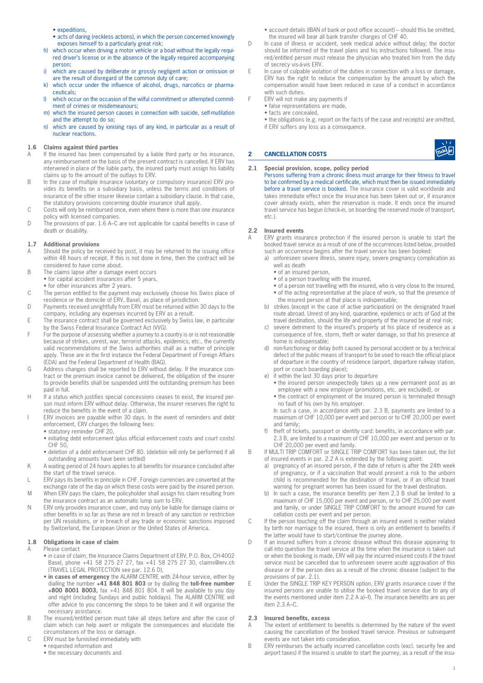- expeditions,
- acts of daring (reckless actions), in which the person concerned knowingly exposes himself to a particularly great risk;
- h) which occur when driving a motor vehicle or a boat without the legally required driver's license or in the absence of the legally required accompanying person;
- i) which are caused by deliberate or grossly negligent action or omission or are the result of disregard of the common duty of care;
- k) which occur under the influence of alcohol, drugs, narcotics or pharmaceuticals;
- l) which occur on the occasion of the wilful commitment or attempted commitment of crimes or misdemeanours;
- m) which the insured person causes in connection with suicide, self-mutilation and the attempt to do so;
- n) which are caused by ionising rays of any kind, in particular as a result of nuclear reactions.

#### **1.6 Claims against third parties**

- A If the insured has been compensated by a liable third party or his insurance, any reimbursement on the basis of the present contract is cancelled. If ERV has intervened in place of the liable party, the insured party must assign his liability claims up to the amount of the outlays to ERV.
- B In the case of multiple insurance (voluntary or compulsory insurance) ERV provides its benefits on a subsidiary basis, unless the terms and conditions of insurance of the other insurer likewise contain a subsidiary clause. In that case, the statutory provisions concerning double insurance shall apply.
- C Costs will only be reimbursed once, even where there is more than one insurance policy with licensed companies.
- D The provisions of par. 1.6 A–C are not applicable for capital benefits in case of death or disability.

#### **1.7 Additional provisions**

- A Should the policy be received by post, it may be returned to the issuing office within 48 hours of receipt. If this is not done in time, then the contract will be considered to have come about.
- B The claims lapse after a damage event occurs • for capital accident insurances after 5 years,
- for other insurances after 2 years.
- C The person entitled to the payment may exclusively choose his Swiss place of residence or the domicile of ERV, Basel, as place of jurisdiction.
- D Payments received unrightfully from ERV must be returned within 30 days to the company, including any expenses incurred by ERV as a result.
- E The insurance contract shall be governed exclusively by Swiss law, in particular by the Swiss Federal Insurance Contract Act (VVG).
- F For the purpose of assessing whether a journey to a country is or is not reasonable because of strikes, unrest, war, terrorist attacks, epidemics, etc., the currently valid recommendations of the Swiss authorities shall as a matter of principle apply. These are in the first instance the Federal Department of Foreign Affairs (EDA) and the Federal Department of Health (BAG).
- G Address changes shall be reported to ERV without delay. If the insurance contract or the premium invoice cannot be delivered, the obligation of the insurer to provide benefits shall be suspended until the outstanding premium has been paid in full.
- H If a status which justifies special concessions ceases to exist, the insured person must inform ERV without delay. Otherwise, the insurer reserves the right to reduce the benefits in the event of a claim.
- I ERV invoices are payable within 30 days. In the event of reminders and debt enforcement, ERV charges the following fees:
	- statutory reminder CHF 20,
	- initiating debt enforcement (plus official enforcement costs and court costs) CHF 50,
	- deletion of a debt enforcement CHF 80. (deletion will only be performed if all outstanding amounts have been settled)
- K A waiting period of 24 hours applies to all benefits for insurance concluded after the start of the travel service.
- L ERV pays its benefits in principle in CHF. Foreign currencies are converted at the exchange rate of the day on which these costs were paid by the insured person.
- M When ERV pays the claim, the policyholder shall assign his claim resulting from the insurance contract as an automatic lump sum to ERV.
- N ERV only provides insurance cover, and may only be liable for damage claims or other benefits in so far as these are not in breach of any sanction or restriction per UN resolutions, or in breach of any trade or economic sanctions imposed by Switzerland, the European Union or the United States of America.

#### **1.8 Obligations in case of claim**

#### A Please contact

- in case of claim, the Insurance Claims Department of ERV, P.O. Box, CH-4002 Basel, phone +41 58 275 27 27, fax +41 58 275 27 30, claims@erv.ch (TRAVEL LEGAL PROTECTION see par. 12.6 D),
- **in cases of emergency** the ALARM CENTRE with 24-hour service, either by dialling the number **+41 848 801 803** or by dialling the **toll-free number +800 8001 8003,** fax +41 848 801 804. It will be available to you day and night (including Sundays and public holidays). The ALARM CENTRE will offer advice to you concerning the steps to be taken and it will organise the necessary assistance.
- B The insured/entitled person must take all steps before and after the case of claim which can help avert or mitigate the consequences and elucidate the circumstances of the loss or damage.
- C ERV must be furnished immediately with
	- requested information and
		- the necessary documents and
- account details (IBAN of bank or post office account) should this be omitted, the insured will bear all bank transfer charges of CHF 40.
- D In case of illness or accident, seek medical advice without delay; the doctor should be informed of the travel plans and his instructions followed. The insured/entitled person must release the physician who treated him from the duty of secrecy vis-à-vis ERV.
- E In case of culpable violation of the duties in connection with a loss or damage, ERV has the right to reduce the compensation by the amount by which the compensation would have been reduced in case of a conduct in accordance with such duties.
- F ERV will not make any payments if
	- false representations are made,
		- facts are concealed,

**2 CANCELLATION COSTS** 

• the obligations (e.g. report on the facts of the case and receipts) are omitted, if ERV suffers any loss as a consequence.

| Ficks E |
|---------|
|         |
|         |

**2.1 Special provision, scope, policy period**

Persons suffering from a chronic illness must arrange for their fitness to travel to be confirmed by a medical certificate, which must then be issued immediately before a travel service is booked. The insurance cover is valid worldwide and takes immediate effect once the insurance has been taken out or, if insurance cover already exists, when the reservation is made. It ends once the insured travel service has begun (check-in, on boarding the reserved mode of transport, etc.).

#### **2.2 Insured events**

ERV grants insurance protection if the insured person is unable to start the booked travel service as a result of one of the occurrences listed below, provided such an occurrence begins after the travel service has been booked:

- a) unforeseen severe illness, severe injury, severe pregnancy complication as well as death
	- of an insured person,
	- of a person travelling with the insured,
	- of a person not travelling with the insured, who is very close to the insured, • of the acting representative at the place of work, so that the presence of the insured person at that place is indispensable;
- b) strikes (except in the case of active participation) on the designated travel route abroad. Unrest of any kind, quarantine, epidemics or acts of God at the travel destination, should the life and property of the insured be at real risk;
- c) severe detriment to the insured's property at his place of residence as a consequence of fire, storm, theft or water damage, so that his presence at home is indispensable;
- d) non-functioning or delay both caused by personal accident or by a technical defect of the public means of transport to be used to reach the official place of departure in the country of residence (airport, departure railway station, port or coach boarding place);
- e) if within the last 30 days prior to departure
	- the insured person unexpectedly takes up a new permanent post as an employee with a new employer (promotions, etc. are excluded), or
	- the contract of employment of the insured person is terminated through no fault of his own by his employer.

In such a case, in accordance with par. 2.3 B, payments are limited to a maximum of CHF 10,000 per event and person or to CHF 20,000 per event and family;

- f) theft of tickets, passport or identity card: benefits, in accordance with par. 2.3 B, are limited to a maximum of CHF 10,000 per event and person or to CHF 20,000 per event and family.
- B If MULTI TRIP COMFORT or SINGLE TRIP COMFORT has been taken out, the list of insured events in par. 2.2 A is extended by the following point:
	- a) pregnancy of an insured person, if the date of return is after the 24th week of pregnancy, or if a vaccination that would present a risk to the unborn child is recommended for the destination of travel, or if an official travel warning for pregnant women has been issued for the travel destination.
	- b) In such a case, the insurance benefits per item 2.3 B shall be limited to a maximum of CHF 15,000 per event and person, or to CHF 25,000 per event and family, or under SINGLE TRIP COMFORT to the amount insured for cancellation costs per event and per person.
- C If the person touching off the claim through an insured event is neither related by birth nor marriage to the insured, there is only an entitlement to benefits if the latter would have to start/continue the journey alone.
- D If an insured suffers from a chronic disease without this disease appearing to call into question the travel service at the time when the insurance is taken out or when the booking is made, ERV will pay the incurred insured costs if the travel service must be cancelled due to unforeseen severe acute aggravation of this disease or if the person dies as a result of the chronic disease (subject to the provisions of par. 2.1).
- E Under the SINGLE TRIP KEY PERSON option, ERV grants insurance cover if the insured persons are unable to utilise the booked travel service due to any of the events mentioned under item 2.2 A a)–f). The insurance benefits are as per item 2.3 A–C.

#### **2.3 Insured benefits, excess**

- A The extent of entitlement to benefits is determined by the nature of the event causing the cancellation of the booked travel service. Previous or subsequent events are not taken into consideration.
- B ERV reimburses the actually incurred cancellation costs (excl. security fee and airport taxes) if the insured is unable to start the journey, as a result of the insu-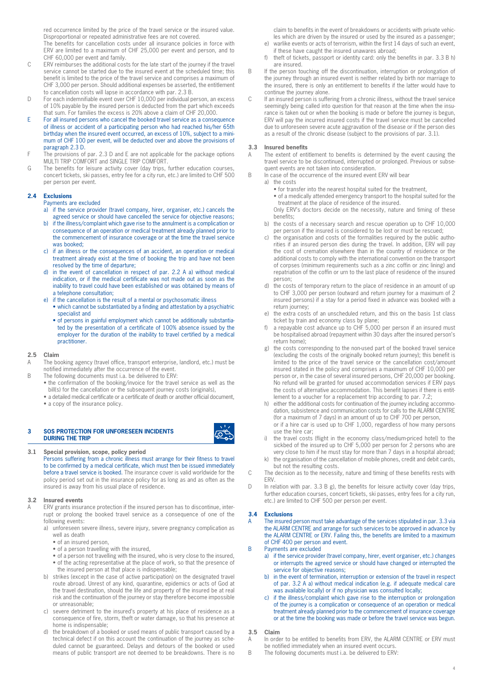red occurrence limited by the price of the travel service or the insured value. Disproportional or repeated administrative fees are not covered.

The benefits for cancellation costs under all insurance policies in force with ERV are limited to a maximum of CHF 25,000 per event and person, and to CHF 60,000 per event and family.

- C ERV reimburses the additional costs for the late start of the journey if the travel service cannot be started due to the insured event at the scheduled time; this benefit is limited to the price of the travel service and comprises a maximum of CHF 3,000 per person. Should additional expenses be asserted, the entitlement to cancellation costs will lapse in accordance with par. 2.3 B.
- D For each indemnifiable event over CHF 10,000 per individual person, an excess of 10% payable by the insured person is deducted from the part which exceeds that sum. For families the excess is 20% above a claim of CHF 20,000.
- E For all insured persons who cancel the booked travel service as a consequence of illness or accident of a participating person who had reached his/her 65th birthday when the insured event occurred, an excess of 10%, subject to a minimum of CHF 100 per event, will be deducted over and above the provisions of paragraph 2.3 D.
- The provisions of par. 2.3 D and E are not applicable for the package options MULTI TRIP COMFORT and SINGLE TRIP COMFORT.
- G The benefits for leisure activity cover (day trips, further education courses, concert tickets, ski passes, entry fee for a city run, etc.) are limited to CHF 500 per person per event.

#### **2.4 Exclusions**

Payments are excluded

- a) if the service provider (travel company, hirer, organiser, etc.) cancels the agreed service or should have cancelled the service for objective reasons;
- b) if the illness/complaint which gave rise to the annulment is a complication or consequence of an operation or medical treatment already planned prior to the commencement of insurance coverage or at the time the travel service was booked;
- c) if an illness or the consequences of an accident, an operation or medical treatment already exist at the time of booking the trip and have not been resolved by the time of departure;
- d) in the event of cancellation in respect of par. 2.2 A a) without medical indication, or if the medical certificate was not made out as soon as the inability to travel could have been established or was obtained by means of a telephone consultation;
- e) if the cancellation is the result of a mental or psychosomatic illness • which cannot be substantiated by a finding and attestation by a psychiatric specialist and
	- of persons in gainful employment which cannot be additionally substantiated by the presentation of a certificate of 100% absence issued by the employer for the duration of the inability to travel certified by a medical practitioner.

#### **2.5 Claim**

- A The booking agency (travel office, transport enterprise, landlord, etc.) must be notified immediately after the occurrence of the event.
- B The following documents must i.a. be delivered to ERV:
	- the confirmation of the booking/invoice for the travel service as well as the bill(s) for the cancellation or the subsequent journey costs (originals),
	- a detailed medical certificate or a certificate of death or another official document, • a copy of the insurance policy.

#### **3 SOS PROTECTION FOR UNFORESEEN INCIDENTS DURING THE TRIP**

#### **3.1 Special provision, scope, policy period**

Persons suffering from a chronic illness must arrange for their fitness to travel to be confirmed by a medical certificate, which must then be issued immediately before a travel service is booked. The insurance cover is valid worldwide for the policy period set out in the insurance policy for as long as and as often as the insured is away from his usual place of residence.

#### **3.2 Insured events**

ERV grants insurance protection if the insured person has to discontinue, interrupt or prolong the booked travel service as a consequence of one of the following events:

- a) unforeseen severe illness, severe injury, severe pregnancy complication as well as death
	- of an insured person,
	- of a person travelling with the insured,
	- of a person not travelling with the insured, who is very close to the insured.
	- of the acting representative at the place of work, so that the presence of the insured person at that place is indispensable;
- b) strikes (except in the case of active participation) on the designated travel route abroad. Unrest of any kind, quarantine, epidemics or acts of God at the travel destination, should the life and property of the insured be at real risk and the continuation of the journey or stay therefore become impossible or unreasonable;
- c) severe detriment to the insured's property at his place of residence as a consequence of fire, storm, theft or water damage, so that his presence at home is indispensable;
- d) the breakdown of a booked or used means of public transport caused by a technical defect if on this account the continuation of the journey as scheduled cannot be guaranteed. Delays and detours of the booked or used means of public transport are not deemed to be breakdowns. There is no

claim to benefits in the event of breakdowns or accidents with private vehicles which are driven by the insured or used by the insured as a passenger;

- e) warlike events or acts of terrorism, within the first 14 days of such an event, if these have caught the insured unawares abroad;
- f) theft of tickets, passport or identity card: only the benefits in par. 3.3 B h) are insured.
- B If the person touching off the discontinuation, interruption or prolongation of the journey through an insured event is neither related by birth nor marriage to the insured, there is only an entitlement to benefits if the latter would have to continue the journey alone.
- C If an insured person is suffering from a chronic illness, without the travel service seemingly being called into question for that reason at the time when the insurance is taken out or when the booking is made or before the journey is begun, ERV will pay the incurred insured costs if the travel service must be cancelled due to unforeseen severe acute aggravation of the disease or if the person dies as a result of the chronic disease (subject to the provisions of par. 3.1).

#### **3.3 Insured benefits**

- A The extent of entitlement to benefits is determined by the event causing the travel service to be discontinued, interrupted or prolonged. Previous or subsequent events are not taken into consideration.
- B In case of the occurrence of the insured event ERV will bear
	- a) the costs
		- for transfer into the nearest hospital suited for the treatment, • of a medically attended emergency transport to the hospital suited for the
	- treatment at the place of residence of the insured.
	- Only ERV's doctors decide on the necessity, nature and timing of these benefits;
	- b) the costs of a necessary search and rescue operation up to CHF 10,000 per person if the insured is considered to be lost or must be rescued;
	- c) the organisation and costs of the formalities required by the public authorities if an insured person dies during the travel. In addition, ERV will pay the cost of cremation elsewhere than in the country of residence or the additional costs to comply with the international convention on the transport of corpses (minimum requirements such as a zinc coffin or zinc lining) and repatriation of the coffin or urn to the last place of residence of the insured person;
	- d) the costs of temporary return to the place of residence in an amount of up to CHF 3,000 per person (outward and return journey for a maximum of 2 insured persons) if a stay for a period fixed in advance was booked with a return journey;
	- e) the extra costs of an unscheduled return, and this on the basis 1st class ticket by train and economy class by plane;
	- a repayable cost advance up to CHF 5,000 per person if an insured must be hospitalised abroad (repayment within 30 days after the insured person's return home);
	- g) the costs corresponding to the non-used part of the booked travel service (excluding the costs of the originally booked return journey); this benefit is limited to the price of the travel service or the cancellation cost/amount insured stated in the policy and comprises a maximum of CHF 10,000 per person or, in the case of several insured persons, CHF 20,000 per booking. No refund will be granted for unused accommodation services if ERV pays the costs of alternative accommodation. This benefit lapses if there is entitlement to a voucher for a replacement trip according to par. 7.2;
	- h) either the additional costs for continuation of the journey including accommodation, subsistence and communication costs for calls to the ALARM CENTRE (for a maximum of 7 days) in an amount of up to CHF 700 per person, or if a hire car is used up to CHF 1,000, regardless of how many persons use the hire car;
	- i) the travel costs (flight in the economy class/medium-priced hotel) to the sickbed of the insured up to CHF 5,000 per person for 2 persons who are very close to him if he must stay for more than 7 days in a hospital abroad;
	- k) the organisation of the cancellation of mobile phones, credit and debit cards, but not the resulting costs.
- C The decision as to the necessity, nature and timing of these benefits rests with **ERV.**
- D In relation with par. 3.3 B g), the benefits for leisure activity cover (day trips, further education courses, concert tickets, ski passes, entry fees for a city run, etc.) are limited to CHF 500 per person per event.

#### **3.4 Exclusions**

- A The insured person must take advantage of the services stipulated in par. 3.3 via the ALARM CENTRE and arrange for such services to be approved in advance by the ALARM CENTRE or ERV. Failing this, the benefits are limited to a maximum of CHF 400 per person and event.
- B Payments are excluded
	- a) if the service provider (travel company, hirer, event organiser, etc.) changes or interrupts the agreed service or should have changed or interrupted the service for objective reasons;
	- b) in the event of termination, interruption or extension of the travel in respect of par. 3.2 A a) without medical indication (e.g. if adequate medical care was available locally) or if no physician was consulted locally;
	- c) if the illness/complaint which gave rise to the interruption or prolongation of the journey is a complication or consequence of an operation or medical treatment already planned prior to the commencement of insurance coverage or at the time the booking was made or before the travel service was begun.

#### **3.5 Claim**

- A In order to be entitled to benefits from ERV, the ALARM CENTRE or ERV must be notified immediately when an insured event occurs.
- B The following documents must i.a. be delivered to ERV: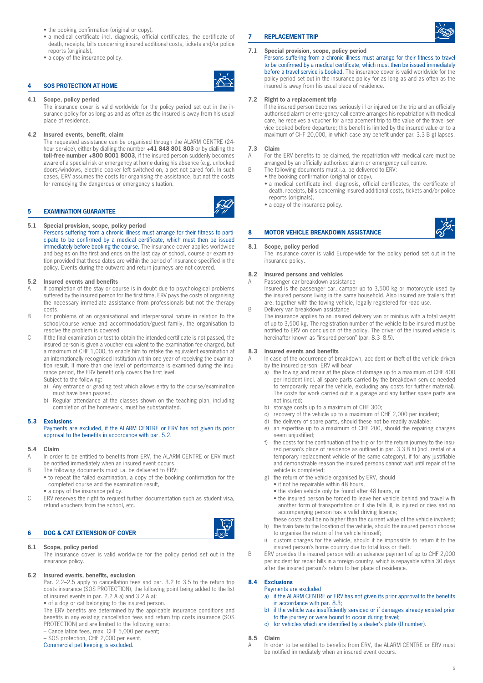- the booking confirmation (original or copy),
- a medical certificate incl. diagnosis, official certificates, the certificate of death, receipts, bills concerning insured additional costs, tickets and/or police reports (originals),
- a copy of the insurance policy.

# **4 SOS PROTECTION AT HOME**



#### **4.1 Scope, policy period**

The insurance cover is valid worldwide for the policy period set out in the insurance policy for as long as and as often as the insured is away from his usual place of residence.

#### **4.2 Insured events, benefit, claim**

The requested assistance can be organised through the ALARM CENTRE (24 hour service), either by dialling the number **+41 848 801 803** or by dialling the **toll-free number +800 8001 8003,** if the insured person suddenly becomes aware of a special risk or emergency at home during his absence (e.g. unlocked doors/windows, electric cooker left switched on, a pet not cared for). In such cases, ERV assumes the costs for organising the assistance, but not the costs for remedying the dangerous or emergency situation.

#### **5 EXAMINATION GUARANTEE**



Persons suffering from a chronic illness must arrange for their fitness to participate to be confirmed by a medical certificate, which must then be issued immediately before booking the course. The insurance cover applies worldwide and begins on the first and ends on the last day of school, course or examination provided that these dates are within the period of insurance specified in the policy. Events during the outward and return journeys are not covered.

#### **5.2 Insured events and benefits**

- If completion of the stay or course is in doubt due to psychological problems suffered by the insured person for the first time, ERV pays the costs of organising the necessary immediate assistance from professionals but not the therapy costs.
- B For problems of an organisational and interpersonal nature in relation to the school/course venue and accommodation/guest family, the organisation to resolve the problem is covered.
- C If the final examination or test to obtain the intended certificate is not passed, the insured person is given a voucher equivalent to the examination fee charged, but a maximum of CHF 1,000, to enable him to retake the equivalent examination at an internationally recognised institution within one year of receiving the examination result. If more than one level of performance is examined during the insurance period, the ERV benefit only covers the first level.
	- Subject to the following:
	- a) Any entrance or grading test which allows entry to the course/examination must have been passed.
	- b) Regular attendance at the classes shown on the teaching plan, including completion of the homework, must be substantiated.

#### **5.3 Exclusions**

Payments are excluded, if the ALARM CENTRE or ERV has not given its prior approval to the benefits in accordance with par. 5.2.

#### **5.4 Claim**

- A In order to be entitled to benefits from ERV, the ALARM CENTRE or ERV must be notified immediately when an insured event occurs.
- B The following documents must i.a. be delivered to ERV:
	- to repeat the failed examination, a copy of the booking confirmation for the completed course and the examination result,
		- a copy of the insurance policy.
- C ERV reserves the right to request further documentation such as student visa, refund vouchers from the school, etc.

#### **6 DOG & CAT EXTENSION OF COVER**

#### **6.1 Scope, policy period**

The insurance cover is valid worldwide for the policy period set out in the insurance policy.

#### **6.2 Insured events, benefits, exclusion**

Par. 2.2–2.5 apply to cancellation fees and par. 3.2 to 3.5 to the return trip costs insurance (SOS PROTECTION), the following point being added to the list of insured events in par. 2.2 A a) and 3.2 A a):

• of a dog or cat belonging to the insured person.

The ERV benefits are determined by the applicable insurance conditions and benefits in any existing cancellation fees and return trip costs insurance (SOS PROTECTION) and are limited to the following sums:

– Cancellation fees, max. CHF 5,000 per event;

– SOS protection, CHF 2,000 per event.

Commercial pet keeping is excluded.

# **7 REPLACEMENT TRIP**

#### **7.1 Special provision, scope, policy period**

Persons suffering from a chronic illness must arrange for their fitness to travel to be confirmed by a medical certificate, which must then be issued immediately before a travel service is booked. The insurance cover is valid worldwide for the policy period set out in the insurance policy for as long as and as often as the insured is away from his usual place of residence.

#### **7.2 Right to a replacement trip**

If the insured person becomes seriously ill or injured on the trip and an officially authorised alarm or emergency call centre arranges his repatriation with medical care, he receives a voucher for a replacement trip to the value of the travel service booked before departure; this benefit is limited by the insured value or to a maximum of CHF 20,000, in which case any benefit under par. 3.3 B g) lapses.

#### **7.3 Claim**

A For the ERV benefits to be claimed, the repatriation with medical care must be arranged by an officially authorised alarm or emergency call centre.

- B The following documents must i.a. be delivered to ERV:
	- the booking confirmation (original or copy),
		- a medical certificate incl. diagnosis, official certificates, the certificate of death, receipts, bills concerning insured additional costs, tickets and/or police reports (originals),
		- a copy of the insurance policy.

#### **8 MOTOR VEHICLE BREAKDOWN ASSISTANCE**

#### **8.1 Scope, policy period**

The insurance cover is valid Europe-wide for the policy period set out in the insurance policy.

#### **8.2 Insured persons and vehicles**

A Passenger car breakdown assistance Insured is the passenger car, camper up to 3,500 kg or motorcycle used by the insured persons living in the same household. Also insured are trailers that are, together with the towing vehicle, legally registered for road use. B Delivery van breakdown assistance

The insurance applies to an insured delivery van or minibus with a total weight of up to 3,500 kg. The registration number of the vehicle to be insured must be notified to ERV on conclusion of the policy. The driver of the insured vehicle is hereinafter known as "insured person" (par. 8.3–8.5).

#### **8.3 Insured events and benefits**

In case of the occurrence of breakdown, accident or theft of the vehicle driven by the insured person, ERV will bear

- a) the towing and repair at the place of damage up to a maximum of CHF 400 per incident (incl. all spare parts carried by the breakdown service needed to temporarily repair the vehicle, excluding any costs for further material). The costs for work carried out in a garage and any further spare parts are not insured;
- b) storage costs up to a maximum of CHF 300;
- c) recovery of the vehicle up to a maximum of CHF 2,000 per incident;
- the delivery of spare parts, should these not be readily available;
- e) an expertise up to a maximum of CHF 200, should the repairing charges seem unjustified:
- f) the costs for the continuation of the trip or for the return journey to the insured person's place of residence as outlined in par. 3.3 B h) (incl. rental of a temporary replacement vehicle of the same category), if for any justifiable and demonstrable reason the insured persons cannot wait until repair of the vehicle is completed;
- g) the return of the vehicle organised by ERV, should
	- it not be repairable within 48 hours,
	- the stolen vehicle only be found after 48 hours, or
	- the insured person be forced to leave her vehicle behind and travel with another form of transportation or if she falls ill, is injured or dies and no accompanying person has a valid driving licence;
- these costs shall be no higher than the current value of the vehicle involved; h) the train fare to the location of the vehicle, should the insured person choose
- to organise the return of the vehicle himself;
- i) custom charges for the vehicle, should it be impossible to return it to the insured person's home country due to total loss or theft.
- B ERV provides the insured person with an advance payment of up to CHF 2,000 per incident for repair bills in a foreign country, which is repayable within 30 days after the insured person's return to her place of residence.

# **8.4 Exclusions**

Payments are excluded

- a) if the ALARM CENTRE or ERV has not given its prior approval to the benefits in accordance with par. 8.3;
- b) if the vehicle was insufficiently serviced or if damages already existed prior to the journey or were bound to occur during travel;
- c) for vehicles which are identified by a dealer's plate (U number).

#### **8.5 Claim**

In order to be entitled to benefits from ERV, the ALARM CENTRE or ERV must be notified immediately when an insured event occurs.

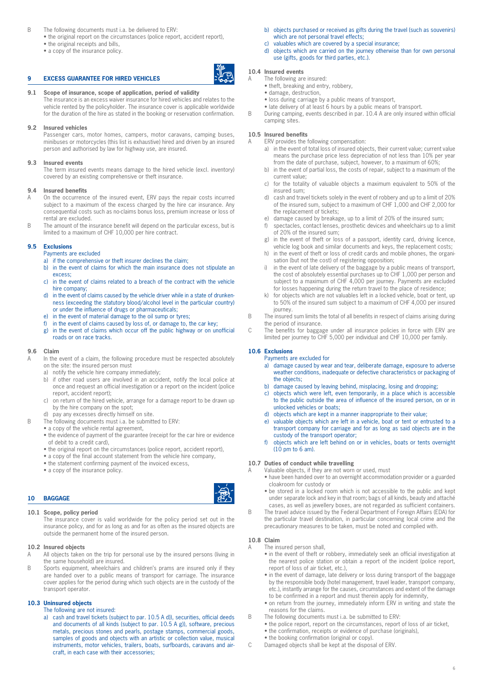# B The following documents must i.a. be delivered to ERV:

- the original report on the circumstances (police report, accident report),
	- the original receipts and bills,
	- a copy of the insurance policy.

#### **9 EXCESS GUARANTEE FOR HIRED VEHICLES**

# **9.1 Scope of insurance, scope of application, period of validity**

The insurance is an excess waiver insurance for hired vehicles and relates to the vehicle rented by the policyholder. The insurance cover is applicable worldwide for the duration of the hire as stated in the booking or reservation confirmation.

#### **9.2 Insured vehicles**

Passenger cars, motor homes, campers, motor caravans, camping buses, minibuses or motorcycles (this list is exhaustive) hired and driven by an insured person and authorised by law for highway use, are insured.

#### **9.3 Insured events**

The term insured events means damage to the hired vehicle (excl. inventory) covered by an existing comprehensive or theft insurance.

#### **9.4 Insured benefits**

- A On the occurrence of the insured event, ERV pays the repair costs incurred subject to a maximum of the excess charged by the hire car insurance. Any consequential costs such as no-claims bonus loss, premium increase or loss of rental are excluded.
- B The amount of the insurance benefit will depend on the particular excess, but is limited to a maximum of CHF 10,000 per hire contract.

#### **9.5 Exclusions**

- Payments are excluded
- a) if the comprehensive or theft insurer declines the claim;
- b) in the event of claims for which the main insurance does not stipulate an excess;
- c) in the event of claims related to a breach of the contract with the vehicle hire company;
- d) in the event of claims caused by the vehicle driver while in a state of drunkenness (exceeding the statutory blood/alcohol level in the particular country) or under the influence of drugs or pharmaceuticals;
- e) in the event of material damage to the oil sump or tyres;
- f) in the event of claims caused by loss of, or damage to, the car key;
- g) in the event of claims which occur off the public highway or on unofficial roads or on race tracks.

#### **9.6 Claim**

- In the event of a claim, the following procedure must be respected absolutely on the site: the insured person must
	- a) notify the vehicle hire company immediately;
	- b) if other road users are involved in an accident, notify the local police at once and request an official investigation or a report on the incident (police report, accident report);
	- c) on return of the hired vehicle, arrange for a damage report to be drawn up by the hire company on the spot;
- d) pay any excesses directly himself on site.
- B The following documents must i.a. be submitted to ERV:
	- a copy of the vehicle rental agreement,
	- the evidence of payment of the guarantee (receipt for the car hire or evidence of debit to a credit card),
	- the original report on the circumstances (police report, accident report),
	- a copy of the final account statement from the vehicle hire company,
	- the statement confirming payment of the invoiced excess,
	- a copy of the insurance policy.

# **10 BAGGAGE**

#### **10.1 Scope, policy period**

The insurance cover is valid worldwide for the policy period set out in the insurance policy, and for as long as and for as often as the insured objects are outside the permanent home of the insured person.

#### **10.2 Insured objects**

- All objects taken on the trip for personal use by the insured persons (living in the same household) are insured.
- B Sports equipment, wheelchairs and children's prams are insured only if they are handed over to a public means of transport for carriage. The insurance cover applies for the period during which such objects are in the custody of the transport operator.

#### **10.3 Uninsured objects**

- The following are not insured:
- a) cash and travel tickets (subject to par. 10.5 A d)), securities, official deeds and documents of all kinds (subject to par. 10.5 A g)), software, precious metals, precious stones and pearls, postage stamps, commercial goods, samples of goods and objects with an artistic or collection value, musical instruments, motor vehicles, trailers, boats, surfboards, caravans and aircraft, in each case with their accessories;
- b) objects purchased or received as gifts during the travel (such as souvenirs) which are not personal travel effects;
- c) valuables which are covered by a special insurance;
- d) objects which are carried on the journey otherwise than for own personal use (gifts, goods for third parties, etc.).

#### **10.4 Insured events**

- A The following are insured:
	- theft, breaking and entry, robbery,
	- damage, destruction,
	- loss during carriage by a public means of transport,
	- late delivery of at least 6 hours by a public means of transport.
- B During camping, events described in par. 10.4 A are only insured within official camping sites.

#### **10.5 Insured benefits**

- A ERV provides the following compensation:
	- a) in the event of total loss of insured objects, their current value; current value means the purchase price less depreciation of not less than 10% per year from the date of purchase, subject, however, to a maximum of 60%;
	- b) in the event of partial loss, the costs of repair, subject to a maximum of the current value;
	- c) for the totality of valuable objects a maximum equivalent to 50% of the insured sum;
	- d) cash and travel tickets solely in the event of robbery and up to a limit of 20% of the insured sum, subject to a maximum of CHF 1,000 and CHF 2,000 for the replacement of tickets;
	- e) damage caused by breakage, up to a limit of 20% of the insured sum;
	- spectacles, contact lenses, prosthetic devices and wheelchairs up to a limit of 20% of the insured sum;
	- g) in the event of theft or loss of a passport, identity card, driving licence, vehicle log book and similar documents and keys, the replacement costs;
	- h) in the event of theft or loss of credit cards and mobile phones, the organisation (but not the cost) of registering opposition;
	- i) in the event of late delivery of the baggage by a public means of transport, the cost of absolutely essential purchases up to CHF 1,000 per person and subject to a maximum of CHF 4,000 per journey. Payments are excluded for losses happening during the return travel to the place of residence;
	- k) for objects which are not valuables left in a locked vehicle, boat or tent, up to 50% of the insured sum subject to a maximum of CHF 4,000 per insured journey.
- B The insured sum limits the total of all benefits in respect of claims arising during the period of insurance.
- C The benefits for baggage under all insurance policies in force with ERV are limited per journey to CHF 5,000 per individual and CHF 10,000 per family.

### **10.6 Exclusions**

Payments are excluded for

- a) damage caused by wear and tear, deliberate damage, exposure to adverse weather conditions, inadequate or defective characteristics or packaging of the objects;
- b) damage caused by leaving behind, misplacing, losing and dropping;
- c) objects which were left, even temporarily, in a place which is accessible to the public outside the area of influence of the insured person, on or in unlocked vehicles or boats;
- d) objects which are kept in a manner inappropriate to their value;
- e) valuable objects which are left in a vehicle, boat or tent or entrusted to a transport company for carriage and for as long as said objects are in the custody of the transport operator;
- f) objects which are left behind on or in vehicles, boats or tents overnight  $(10 \text{ pm to } 6 \text{ am}).$

# **10.7 Duties of conduct while travelling**

- A Valuable objects, if they are not worn or used, must
	- have been handed over to an overnight accommodation provider or a guarded cloakroom for custody or
	- be stored in a locked room which is not accessible to the public and kept under separate lock and key in that room; bags of all kinds, beauty and attaché cases, as well as jewellery boxes, are not regarded as sufficient containers.
- B The travel advice issued by the Federal Department of Foreign Affairs (EDA) for the particular travel destination, in particular concerning local crime and the precautionary measures to be taken, must be noted and complied with.

#### **10.8 Claim**

- A The insured person shall,
	- in the event of theft or robbery, immediately seek an official investigation at the nearest police station or obtain a report of the incident (police report, report of loss of air ticket, etc.),
	- in the event of damage, late delivery or loss during transport of the baggage by the responsible body (hotel management, travel leader, transport company, etc.), instantly arrange for the causes, circumstances and extent of the damage to be confirmed in a report and must therein apply for indemnity,
	- on return from the journey, immediately inform ERV in writing and state the reasons for the claims.
- B The following documents must i.a. be submitted to ERV:
	- the police report, report on the circumstances, report of loss of air ticket,
	- the confirmation, receipts or evidence of purchase (originals),
	- the booking confirmation (original or copy).
- C Damaged objects shall be kept at the disposal of ERV.

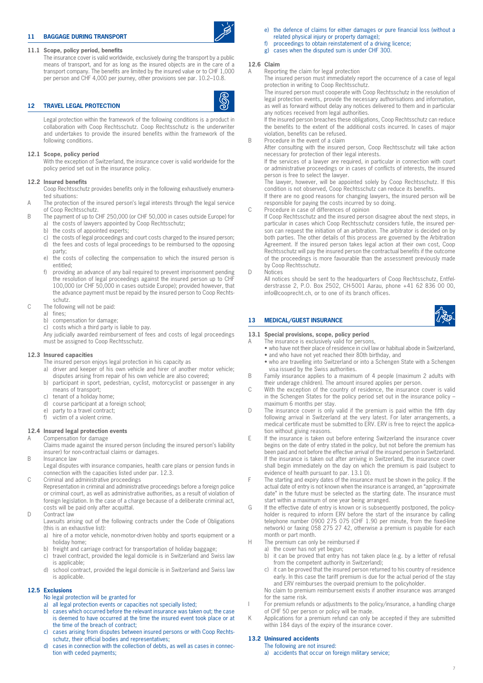# **11 BAGGAGE DURING TRANSPORT**

#### **11.1 Scope, policy period, benefits**

The insurance cover is valid worldwide, exclusively during the transport by a public means of transport, and for as long as the insured objects are in the care of a transport company. The benefits are limited by the insured value or to CHF 1,000 per person and CHF 4,000 per journey, other provisions see par. 10.2–10.8.

#### **12 TRAVEL LEGAL PROTECTION**

Legal protection within the framework of the following conditions is a product in collaboration with Coop Rechtsschutz. Coop Rechtsschutz is the underwriter and undertakes to provide the insured benefits within the framework of the following conditions.

#### **12.1 Scope, policy period**

With the exception of Switzerland, the insurance cover is valid worldwide for the policy period set out in the insurance policy.

#### **12.2 Insured benefits**

Coop Rechtsschutz provides benefits only in the following exhaustively enumerated situations:

- A The protection of the insured person's legal interests through the legal service of Coop Rechtsschutz.
- B The payment of up to CHF 250,000 (or CHF 50,000 in cases outside Europe) for a) the costs of lawyers appointed by Coop Rechtsschutz;
	- b) the costs of appointed experts;
	- c) the costs of legal proceedings and court costs charged to the insured person; d) the fees and costs of legal proceedings to be reimbursed to the opposing party;
	- e) the costs of collecting the compensation to which the insured person is entitled;
	- f) providing an advance of any bail required to prevent imprisonment pending the resolution of legal proceedings against the insured person up to CHF 100,000 (or CHF 50,000 in cases outside Europe); provided however, that the advance payment must be repaid by the insured person to Coop Rechtsschutz.
- C The following will not be paid:
	- a) fines;
	- b) compensation for damage;
	- costs which a third party is liable to pay.
	- Any judicially awarded reimbursement of fees and costs of legal proceedings must be assigned to Coop Rechtsschutz.

#### **12.3 Insured capacities**

- The insured person enjoys legal protection in his capacity as
- a) driver and keeper of his own vehicle and hirer of another motor vehicle; disputes arising from repair of his own vehicle are also covered;
- b) participant in sport, pedestrian, cyclist, motorcyclist or passenger in any means of transport;
- c) tenant of a holiday home;
- d) course participant at a foreign school;
- e) party to a travel contract;
- f) victim of a violent crime.

#### **12.4 Insured legal protection events**

A Compensation for damage Claims made against the insured person (including the insured person's liability insurer) for non-contractual claims or damages.

B Insurance law

Legal disputes with insurance companies, health care plans or pension funds in connection with the capacities listed under par. 12.3.

C Criminal and administrative proceedings

Representation in criminal and administrative proceedings before a foreign police or criminal court, as well as administrative authorities, as a result of violation of foreign legislation. In the case of a charge because of a deliberate criminal act, costs will be paid only after acquittal.

D Contract law

Lawsuits arising out of the following contracts under the Code of Obligations (this is an exhaustive list):

- a) hire of a motor vehicle, non-motor-driven hobby and sports equipment or a holiday home;
- b) freight and carriage contract for transportation of holiday baggage;
- c) travel contract, provided the legal domicile is in Switzerland and Swiss law is applicable;
- d) school contract, provided the legal domicile is in Switzerland and Swiss law is applicable.

# **12.5 Exclusions**

- No legal protection will be granted for
- a) all legal protection events or capacities not specially listed;
- b) cases which occurred before the relevant insurance was taken out; the case is deemed to have occurred at the time the insured event took place or at the time of the breach of contract;
- c) cases arising from disputes between insured persons or with Coop Rechtsschutz, their official bodies and representatives;
- d) cases in connection with the collection of debts, as well as cases in connection with ceded payments;
- e) the defence of claims for either damages or pure financial loss (without a related physical injury or property damage);
- f) proceedings to obtain reinstatement of a driving licence:
- g) cases when the disputed sum is under CHF 300.

#### **12.6 Claim**

A Reporting the claim for legal protection

The insured person must immediately report the occurrence of a case of legal protection in writing to Coop Rechtsschutz.

The insured person must cooperate with Coop Rechtsschutz in the resolution of legal protection events, provide the necessary authorisations and information, as well as forward without delay any notices delivered to them and in particular any notices received from legal authorities.

If the insured person breaches these obligations, Coop Rechtsschutz can reduce the benefits to the extent of the additional costs incurred. In cases of major violation, benefits can be refused.

B Procedure in the event of a claim

After consulting with the insured person, Coop Rechtsschutz will take action necessary for protection of their legal interests.

If the services of a lawyer are required, in particular in connection with court or administrative proceedings or in cases of conflicts of interests, the insured person is free to select the lawyer.

The lawyer, however, will be appointed solely by Coop Rechtsschutz. If this condition is not observed, Coop Rechtsschutz can reduce its benefits.

If there are no good reasons for changing lawyers, the insured person will be responsible for paying the costs incurred by so doing.

C Procedure in case of differences of opinion

If Coop Rechtsschutz and the insured person disagree about the next steps, in particular in cases which Coop Rechtsschutz considers futile, the insured person can request the initiation of an arbitration. The arbitrator is decided on by both parties. The other details of this process are governed by the Arbitration Agreement. If the insured person takes legal action at their own cost, Coop Rechtsschutz will pay the insured person the contractual benefits if the outcome of the proceedings is more favourable than the assessment previously made by Coop Rechtsschutz.

D Notices

All notices should be sent to the headquarters of Coop Rechtsschutz, Entfelderstrasse 2, P.O. Box 2502, CH-5001 Aarau, phone +41 62 836 00 00, info@cooprecht.ch, or to one of its branch offices.

#### **13 MEDICAL/GUEST INSURANCE**

# **13.1 Special provisions, scope, policy period**

- A The insurance is exclusively valid for persons,
	- who have not their place of residence in civil law or habitual abode in Switzerland, • and who have not yet reached their 80th birthday, and
	- who are travelling into Switzerland or into a Schengen State with a Schengen visa issued by the Swiss authorities.
- B Family insurance applies to a maximum of 4 people (maximum 2 adults with their underage children). The amount insured applies per person.
- C With the exception of the country of residence, the insurance cover is valid in the Schengen States for the policy period set out in the insurance policy – maximum 6 months per stay.
- D The insurance cover is only valid if the premium is paid within the fifth day following arrival in Switzerland at the very latest. For later arrangements, a medical certificate must be submitted to ERV. ERV is free to reject the application without giving reasons.
- E If the insurance is taken out before entering Switzerland the insurance cover begins on the date of entry stated in the policy, but not before the premium has been paid and not before the effective arrival of the insured person in Switzerland. If the insurance is taken out after arriving in Switzerland, the insurance cover shall begin immediately on the day on which the premium is paid (subject to evidence of health pursuant to par. 13.1 D).
- F The starting and expiry dates of the insurance must be shown in the policy. If the actual date of entry is not known when the insurance is arranged, an "approximate date" in the future must be selected as the starting date. The insurance must start within a maximum of one year being arranged.
- G If the effective date of entry is known or is subsequently postponed, the policyholder is required to inform ERV before the start of the insurance by calling telephone number 0900 275 075 (CHF 1.90 per minute, from the fixed-line network) or faxing 058 275 27 42, otherwise a premium is payable for each month or part month.
- H The premium can only be reimbursed if
	- a) the cover has not yet begun;
		- b) it can be proved that entry has not taken place (e.g. by a letter of refusal from the competent authority in Switzerland);
		- c) it can be proved that the insured person returned to his country of residence early. In this case the tariff premium is due for the actual period of the stay and ERV reimburses the overpaid premium to the policyholder.

No claim to premium reimbursement exists if another insurance was arranged for the same risk.

- I For premium refunds or adjustments to the policy/insurance, a handling charge of CHF 50 per person or policy will be made.
- K Applications for a premium refund can only be accepted if they are submitted within 184 days of the expiry of the insurance cover.

#### **13.2 Uninsured accidents**

The following are not insured:

a) accidents that occur on foreign military service;



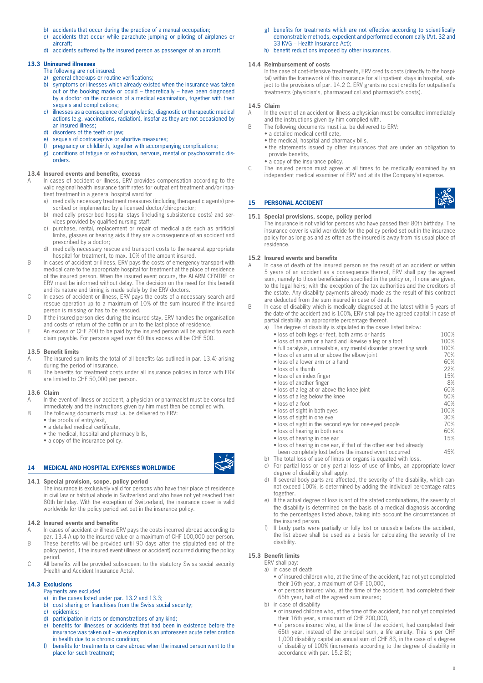- b) accidents that occur during the practice of a manual occupation;
- c) accidents that occur while parachute jumping or piloting of airplanes or aircraft;
- d) accidents suffered by the insured person as passenger of an aircraft.

#### **13.3 Uninsured illnesses**

orders.

- The following are not insured:
- a) general checkups or routine verifications;
- b) symptoms or illnesses which already existed when the insurance was taken out or the booking made or could – theoretically – have been diagnosed by a doctor on the occasion of a medical examination, together with their sequels and complications:
- c) illnesses as a consequence of prophylactic, diagnostic or therapeutic medical actions (e.g. vaccinations, radiation), insofar as they are not occasioned by an insured illness;
- d) disorders of the teeth or jaw;
- e) sequels of contraceptive or abortive measures;
- f) pregnancy or childbirth, together with accompanying complications; g) conditions of fatigue or exhaustion. nervous. mental or nsychosoma conditions of fatigue or exhaustion, nervous, mental or psychosomatic dis-

#### **13.4 Insured events and benefits, excess**

- In cases of accident or illness, ERV provides compensation according to the valid regional health insurance tariff rates for outpatient treatment and/or inpatient treatment in a general hospital ward for
- a) medically necessary treatment measures (including therapeutic agents) prescribed or implemented by a licensed doctor/chiropractor;
- b) medically prescribed hospital stays (including subsistence costs) and services provided by qualified nursing staff;
- c) purchase, rental, replacement or repair of medical aids such as artificial limbs, glasses or hearing aids if they are a consequence of an accident and prescribed by a doctor;
- d) medically necessary rescue and transport costs to the nearest appropriate hospital for treatment, to max. 10% of the amount insured.
- B In cases of accident or illness, ERV pays the costs of emergency transport with medical care to the appropriate hospital for treatment at the place of residence of the insured person. When the insured event occurs, the ALARM CENTRE or ERV must be informed without delay. The decision on the need for this benefit and its nature and timing is made solely by the ERV doctors.
- C In cases of accident or illness, ERV pays the costs of a necessary search and rescue operation up to a maximum of 10% of the sum insured if the insured person is missing or has to be rescued.
- D If the insured person dies during the insured stay, ERV handles the organisation and costs of return of the coffin or urn to the last place of residence.
- E An excess of CHF 200 to be paid by the insured person will be applied to each claim payable. For persons aged over 60 this excess will be CHF 500.

#### **13.5 Benefit limits**

- A The insured sum limits the total of all benefits (as outlined in par. 13.4) arising during the period of insurance.
- B The benefits for treatment costs under all insurance policies in force with ERV are limited to CHF 50,000 per person.

#### **13.6 Claim**

- A In the event of illness or accident, a physician or pharmacist must be consulted immediately and the instructions given by him must then be complied with.
- B The following documents must i.a. be delivered to ERV:
	- the proofs of entry/exit,
		- a detailed medical certificate,
		- the medical, hospital and pharmacy bills,
		- a copy of the insurance policy.

# **14 MEDICAL AND HOSPITAL EXPENSES WORLDWIDE**

#### **14.1 Special provision, scope, policy period**

The insurance is exclusively valid for persons who have their place of residence in civil law or habitual abode in Switzerland and who have not yet reached their 80th birthday. With the exception of Switzerland, the insurance cover is valid worldwide for the policy period set out in the insurance policy.

#### **14.2 Insured events and benefits**

A In cases of accident or illness ERV pays the costs incurred abroad according to par. 13.4 A up to the insured value or a maximum of CHF 100,000 per person.

- B These benefits will be provided until 90 days after the stipulated end of the policy period, if the insured event (illness or accident) occurred during the policy period.
- C All benefits will be provided subsequent to the statutory Swiss social security (Health and Accident Insurance Acts).

# **14.3 Exclusions**

- Payments are excluded
- a) in the cases listed under par. 13.2 and 13.3;
- b) cost sharing or franchises from the Swiss social security;
- c) epidemics;
- d) participation in riots or demonstrations of any kind;
- e) benefits for illnesses or accidents that had been in existence before the insurance was taken out – an exception is an unforeseen acute deterioration in health due to a chronic condition;
- f) benefits for treatments or care abroad when the insured person went to the place for such treatment;
- g) benefits for treatments which are not effective according to scientifically demonstrable methods, expedient and performed economically (Art. 32 and 33 KVG – Health Insurance Act);
- h) benefit reductions imposed by other insurances.

# **14.4 Reimbursement of costs**

In the case of cost-intensive treatments, ERV credits costs (directly to the hospital) within the framework of this insurance for all inpatient stays in hospital, subject to the provisions of par. 14.2 C. ERV grants no cost credits for outpatient's treatments (physician's, pharmaceutical and pharmacist's costs).

#### **14.5 Claim**

- A In the event of an accident or illness a physician must be consulted immediately and the instructions given by him complied with.
- B The following documents must i.a. be delivered to ERV:
	- a detailed medical certificate,
		- the medical, hospital and pharmacy bills,
		- the statements issued by other insurances that are under an obligation to provide benefits,
	- a copy of the insurance policy.
- C The insured person must agree at all times to be medically examined by an independent medical examiner of ERV and at its (the Company's) expense.

#### **15 PERSONAL ACCIDENT**

#### **15.1 Special provisions, scope, policy period**

The insurance is not valid for persons who have passed their 80th birthday. The insurance cover is valid worldwide for the policy period set out in the insurance policy for as long as and as often as the insured is away from his usual place of residence.

#### **15.2 Insured events and benefits**

- A In case of death of the insured person as the result of an accident or within 5 years of an accident as a consequence thereof, ERV shall pay the agreed sum, namely to those beneficiaries specified in the policy or, if none are given, to the legal heirs; with the exception of the tax authorities and the creditors of the estate. Any disability payments already made as the result of this contract are deducted from the sum insured in case of death.
- B In case of disability which is medically diagnosed at the latest within 5 years of the date of the accident and is 100%, ERV shall pay the agreed capital; in case of partial disability, an appropriate percentage thereof.
	- a) The degree of disability is stipulated in the cases listed below:
		- loss of both legs or feet, both arms or hands 100%<br>• loss of an arm or a hand and likewise a leg or a foot 100%
		- loss of an arm or a hand and likewise a leg or a foot 100%<br>• full paralysis, untreatable, any mental disorder preventing work 100%
		- full paralysis, untreatable, any mental disorder preventing work 100%<br>• loss of an arm at or above the elbow ioint 70% • loss of an arm at or above the elbow joint 70% **70% 108 CM** 70% **60%** • loss of a lower arm or a hand 60% **60%**<br>• loss of a thumb **60%**
		- loss of a thumb 22% • loss of an index finger 15% • loss of another finger 8% **8%**<br>• loss of a leg at or above the knee joint 60% • loss of a leg at or above the knee joint 60% **60%** 60% **60%** • loss of a leg below the knee 50% **50% 60% 50%** • loss of a foot 40% and 40% and 40% and 40% and 40% and 40% and 40% and 40% and 40% and 40% and 40% and 40% and 40% and 40% and 40% and 40% and 40% and 40% and 40% and 40% and 40% and 40% and 40% and 40% and 40% and 40% a  $\bullet$  loss of sight in both eyes • loss of sight in one eye 30%
		- loss of sight in the second eye for one-eyed people
		- loss of hearing in both ears 60%
		- loss of hearing in one ear 15%
		- loss of hearing in one ear, if that of the other ear had already
	- been completely lost before the insured event occurred 45%
	- b) The total loss of use of limbs or organs is equated with loss. c) For partial loss or only partial loss of use of limbs, an appropriate lower degree of disability shall apply.
	- d) If several body parts are affected, the severity of the disability, which cannot exceed 100%, is determined by adding the individual percentage rates together.
	- e) If the actual degree of loss is not of the stated combinations, the severity of the disability is determined on the basis of a medical diagnosis according to the percentages listed above, taking into account the circumstances of the insured person.
	- If body parts were partially or fully lost or unusable before the accident, the list above shall be used as a basis for calculating the severity of the disability.

# **15.3 Benefit limits**

- ERV shall pay: a) in case of death
	- of insured children who, at the time of the accident, had not yet completed their 16th year, a maximum of CHF 10,000,
	- of persons insured who, at the time of the accident, had completed their 65th year, half of the agreed sum insured;
	-
- b) in case of disability
	- of insured children who, at the time of the accident, had not yet completed their 16th year, a maximum of CHF 200,000,
	- of persons insured who, at the time of the accident, had completed their 65th year, instead of the principal sum, a life annuity. This is per CHF 1,000 disability capital an annual sum of CHF 83, in the case of a degree of disability of 100% (increments according to the degree of disability in accordance with par. 15.2 B);



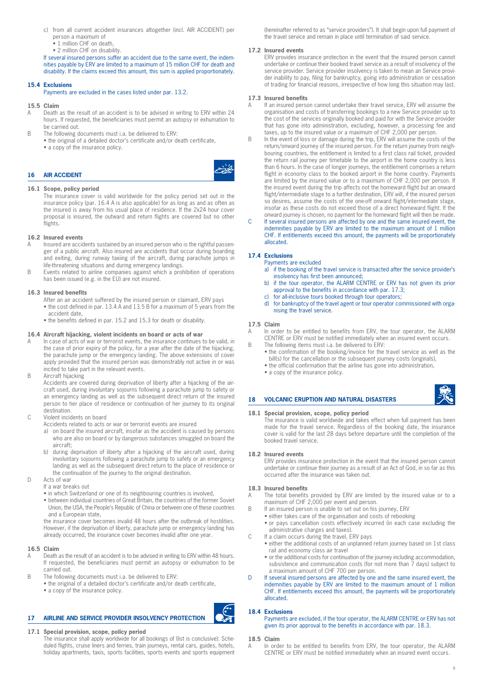- c) from all current accident insurances altogether (incl. AIR ACCIDENT) per person a maximum of
	- 1 million CHF on death,
	- 2 million CHF on disability.

If several insured persons suffer an accident due to the same event, the indemnities payable by ERV are limited to a maximum of 15 million CHF for death and disability. If the claims exceed this amount, this sum is applied proportionately.

# **15.4 Exclusions**

#### Payments are excluded in the cases listed under par. 13.2.

# **15.5 Claim**

- A Death as the result of an accident is to be advised in writing to ERV within 24 hours. If requested, the beneficiaries must permit an autopsy or exhumation to be carried out.
- B The following documents must i.a. be delivered to ERV:
	- the original of a detailed doctor's certificate and/or death certificate, • a copy of the insurance policy.
	-



# **16 AIR ACCIDENT**

#### **16.1 Scope, policy period**

The insurance cover is valid worldwide for the policy period set out in the insurance policy (par. 16.4 A is also applicable) for as long as and as often as the insured is away from his usual place of residence. If the 2x24 hour cover proposal is insured, the outward and return flights are covered but no other flights.

#### **16.2 Insured events**

- Insured are accidents sustained by an insured person who is the rightful passenger of a public aircraft. Also insured are accidents that occur during boarding and exiting, during runway taxiing of the aircraft, during parachute jumps in life-threatening situations and during emergency landings.
- B Events related to airline companies against which a prohibition of operations has been issued (e.g. in the EU) are not insured.

#### **16.3 Insured benefits**

- After an air accident suffered by the insured person or claimant, ERV pays
- the cost defined in par. 13.4 A and 13.5 B for a maximum of 5 years from the accident date,
- the benefits defined in par. 15.2 and 15.3 for death or disability.

#### **16.4 Aircraft hijacking, violent incidents on board or acts of war**

- A In case of acts of war or terrorist events, the insurance continues to be valid, in the case of prior expiry of the policy, for a year after the date of the hijacking, the parachute jump or the emergency landing. The above extensions of cover apply provided that the insured person was demonstrably not active in or was incited to take part in the relevant events.
- B Aircraft hijacking

Accidents are covered during deprivation of liberty after a hijacking of the aircraft used, during involuntary sojourns following a parachute jump to safety or an emergency landing as well as the subsequent direct return of the insured person to her place of residence or continuation of her journey to its original destination.

#### C Violent incidents on board

- Accidents related to acts or war or terrorist events are insured
- a) on board the insured aircraft, insofar as the accident is caused by persons who are also on board or by dangerous substances smuggled on board the aircraft;
- b) during deprivation of liberty after a hijacking of the aircraft used, during involuntary sojourns following a parachute jump to safety or an emergency landing as well as the subsequent direct return to the place of residence or the continuation of the journey to the original destination.
- D Acts of war
	- If a war breaks out
	- in which Switzerland or one of its neighbouring countries is involved,
	- between individual countries of Great Britain, the countries of the former Soviet Union, the USA, the People's Republic of China or between one of these countries and a European state,

the insurance cover becomes invalid 48 hours after the outbreak of hostilities. However, if the deprivation of liberty, parachute jump or emergency landing has already occurred, the insurance cover becomes invalid after one year.

#### **16.5 Claim**

- A Death as the result of an accident is to be advised in writing to ERV within 48 hours. If requested, the beneficiaries must permit an autopsy or exhumation to be carried out.
- B The following documents must i.a. be delivered to ERV:
	- the original of a detailed doctor's certificate and/or death certificate, • a copy of the insurance policy.

#### **17 AIRLINE AND SERVICE PROVIDER INSOLVENCY PROTECTION**

### **17.1 Special provision, scope, policy period**

The insurance shall apply worldwide for all bookings of (list is conclusive): Scheduled flights, cruise liners and ferries, train journeys, rental cars, guides, hotels, holiday apartments, taxis, sports facilities, sports events and sports equipment (hereinafter referred to as "service providers"). It shall begin upon full payment of the travel service and remain in place until termination of said service.

#### **17.2 Insured events**

ERV provides insurance protection in the event that the insured person cannot undertake or continue their booked travel service as a result of insolvency of the service provider. Service provider insolvency is taken to mean an Service provider inability to pay, filing for bankruptcy, going into administration or cessation of trading for financial reasons, irrespective of how long this situation may last.

#### **17.3 Insured benefits**

- If an insured person cannot undertake their travel service, ERV will assume the organisation and costs of transferring bookings to a new Service provider up to the cost of the services originally booked and paid for with the Service provider that has gone into administration, excluding, however, a processing fee and taxes, up to the insured value or a maximum of CHF 2,000 per person.
- B In the event of loss or damage during the trip, ERV will assume the costs of the return/onward journey of the insured person. For the return journey from neighbouring countries, the entitlement is limited to a first class rail ticket, provided the return rail journey per timetable to the airport in the home country is less than 6 hours. In the case of longer journeys, the entitlement comprises a return flight in economy class to the booked airport in the home country. Payments are limited by the insured value or to a maximum of CHF 2,000 per person. If the insured event during the trip affects not the homeward flight but an onward flight/intermediate stage to a further destination, ERV will, if the insured person so desires, assume the costs of the one-off onward flight/intermediate stage, insofar as these costs do not exceed those of a direct homeward flight. If the
- onward journey is chosen, no payment for the homeward flight will then be made. C If several insured persons are affected by one and the same insured event, the indemnities payable by ERV are limited to the maximum amount of 1 million CHF. If entitlements exceed this amount, the payments will be proportionately allocated.

#### **17.4 Exclusions** Payments are excluded

- a) if the booking of the travel service is transacted after the service provider's insolvency has first been announced;
- b) if the tour operator, the ALARM CENTRE or ERV has not given its prior approval to the benefits in accordance with par. 17.3;
- c) for all-inclusive tours booked through tour operators;
- d) for bankruptcy of the travel agent or tour operator commissioned with organising the travel service.

#### **17.5 Claim**

A In order to be entitled to benefits from ERV, the tour operator, the ALARM CENTRE or ERV must be notified immediately when an insured event occurs.

- B The following items must i.a. be delivered to ERV: • the confirmation of the booking/invoice for the travel service as well as the
	- bill(s) for the cancellation or the subsequent journey costs (originals), • the official confirmation that the airline has gone into administration,
	- a copy of the insurance policy.

#### **18 VOLCANIC ERUPTION AND NATURAL DISASTERS**

#### **18.1 Special provision, scope, policy period**

The insurance is valid worldwide and takes effect when full payment has been made for the travel service. Regardless of the booking date, the insurance cover is valid for the last 28 days before departure until the completion of the booked travel service.

#### **18.2 Insured events**

ERV provides insurance protection in the event that the insured person cannot undertake or continue their journey as a result of an Act of God, in so far as this occurred after the insurance was taken out.

#### **18.3 Insured benefits**

- A The total benefits provided by ERV are limited by the insured value or to a maximum of CHF 2,000 per event and person.
- B If an insured person is unable to set out on his journey, ERV
	- either takes care of the organisation and costs of rebooking
	- or pays cancellation costs effectively incurred (in each case excluding the administrative charges and taxes).
- C If a claim occurs during the travel, ERV pays
	- either the additional costs of an unplanned return journey based on 1st class rail and economy class air travel
	- or the additional costs for continuation of the journey including accommodation, subsistence and communication costs (for not more than 7 days) subject to a maximum amount of CHF 700 per person.
- D If several insured persons are affected by one and the same insured event, the indemnities payable by ERV are limited to the maximum amount of 1 million CHF. If entitlements exceed this amount, the payments will be proportionately allocated.

# **18.4 Exclusions**

Payments are excluded, if the tour operator, the ALARM CENTRE or ERV has not given its prior approval to the benefits in accordance with par. 18.3.

#### **18.5 Claim**

In order to be entitled to benefits from ERV, the tour operator, the ALARM CENTRE or ERV must be notified immediately when an insured event occurs.